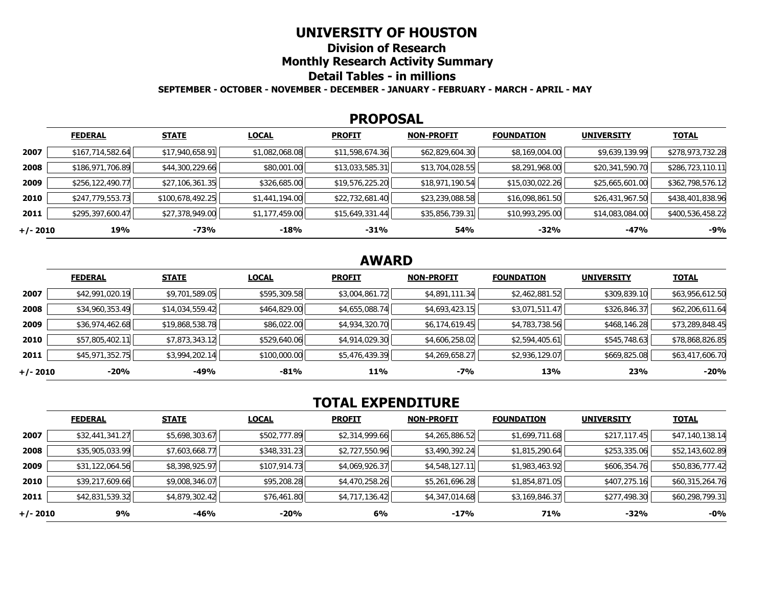### **UNIVERSITY OF HOUSTON**

**Division of Research** 

**Monthly Research Activity Summary** 

### **Detail Tables - in millions**

**SEPTEMBER - OCTOBER - NOVEMBER - DECEMBER - JANUARY - FEBRUARY - MARCH - APRIL - MAY** 

#### **PROPOSAL**

|            | <b>FEDERAL</b>   | <b>STATE</b>     | <b>LOCAL</b>   | <b>PROFIT</b>   | <b>NON-PROFIT</b> | <b>FOUNDATION</b> | <b>UNIVERSITY</b> | <b>TOTAL</b>     |
|------------|------------------|------------------|----------------|-----------------|-------------------|-------------------|-------------------|------------------|
| 2007       | \$167,714,582.64 | \$17,940,658.91  | \$1,082,068.08 | \$11,598,674.36 | \$62,829,604.30   | \$8,169,004.00    | \$9,639,139.99    | \$278,973,732.28 |
| 2008       | \$186,971,706.89 | \$44,300,229.66  | \$80,001.00    | \$13,033,585.31 | \$13,704,028.55   | \$8,291,968.00    | \$20,341,590.70   | \$286,723,110.11 |
| 2009       | \$256,122,490.77 | \$27,106,361.35  | \$326,685.00   | \$19,576,225.20 | \$18,971,190.54   | \$15,030,022.26   | \$25,665,601.00   | \$362,798,576.12 |
| 2010       | \$247,779,553.73 | \$100,678,492.25 | \$1,441,194.00 | \$22,732,681.40 | \$23,239,088.58   | \$16,098,861.50   | \$26,431,967.50   | \$438,401,838.96 |
| 2011       | \$295,397,600.47 | \$27,378,949.00  | \$1,177,459.00 | \$15,649,331.44 | \$35,856,739.31   | \$10,993,295.00   | \$14,083,084.00   | \$400,536,458.22 |
| $+/- 2010$ | 19%              | -73%             | $-18%$         | $-31%$          | 54%               | -32%              | $-47%$            | $-9%$            |

## **AWARD**

|          | <b>FEDERAL</b>  | <b>STATE</b>    | <b>LOCAL</b> | <b>PROFIT</b>  | <b>NON-PROFIT</b> | <b>FOUNDATION</b> | <b>UNIVERSITY</b> | <u>TOTAL</u>    |
|----------|-----------------|-----------------|--------------|----------------|-------------------|-------------------|-------------------|-----------------|
| 2007     | \$42,991,020.19 | \$9,701,589.05  | \$595,309.58 | \$3,004,861.72 | \$4,891,111.34    | \$2,462,881.52    | \$309,839.10      | \$63,956,612.50 |
| 2008     | \$34,960,353.49 | \$14,034,559.42 | \$464,829.00 | \$4,655,088.74 | \$4,693,423.15    | \$3,071,511.47    | \$326,846.37      | \$62,206,611.64 |
| 2009     | \$36,974,462.68 | \$19,868,538.78 | \$86,022.00  | \$4,934,320.70 | \$6,174,619.45    | \$4,783,738.56    | \$468,146.28      | \$73,289,848.45 |
| 2010     | \$57,805,402.11 | \$7,873,343.12  | \$529,640.06 | \$4,914,029.30 | \$4,606,258.02    | \$2,594,405.61    | \$545,748.63      | \$78,868,826.85 |
| 2011     | \$45,971,352.75 | \$3,994,202.14  | \$100,000.00 | \$5,476,439.39 | \$4,269,658.27    | \$2,936,129.07    | \$669,825.08      | \$63,417,606.70 |
| +/- 2010 | $-20%$          | -49%            | -81%         | 11%            | -7%               | 13%               | 23%               | $-20%$          |

# **TOTAL EXPENDITURE**

|          | <b>FEDERAL</b>  | <b>STATE</b>   | <b>LOCAL</b> | <b>PROFIT</b>  | <b>NON-PROFIT</b> | <b>FOUNDATION</b> | <b>UNIVERSITY</b> | <b>TOTAL</b>    |
|----------|-----------------|----------------|--------------|----------------|-------------------|-------------------|-------------------|-----------------|
| 2007     | \$32,441,341.27 | \$5,698,303.67 | \$502,777.89 | \$2,314,999.66 | \$4,265,886.52    | \$1,699,711.68    | \$217,117.45      | \$47,140,138.14 |
| 2008     | \$35,905,033.99 | \$7,603,668.77 | \$348,331.23 | \$2,727,550.96 | \$3,490,392.24    | \$1,815,290.64    | \$253,335.06      | \$52,143,602.89 |
| 2009     | \$31,122,064.56 | \$8,398,925.97 | \$107,914.73 | \$4,069,926.37 | \$4,548,127.11    | \$1,983,463.92    | \$606,354.76      | \$50,836,777.42 |
| 2010     | \$39,217,609.66 | \$9,008,346.07 | \$95,208.28  | \$4,470,258.26 | \$5,261,696.28    | \$1,854,871.05    | \$407,275.16      | \$60,315,264.76 |
| 2011     | \$42,831,539.32 | \$4,879,302.42 | \$76,461.80  | \$4,717,136.42 | \$4,347,014.68    | \$3,169,846.37    | \$277,498.30      | \$60,298,799.31 |
| +/- 2010 | 9%              | $-46%$         | $-20%$       | 6%             | $-17%$            | 71%               | -32%              | -0%             |